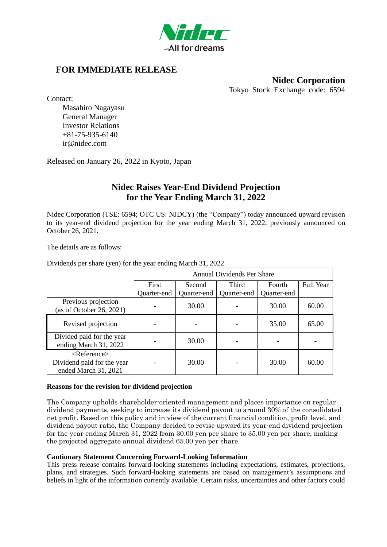

# **FOR IMMEDIATE RELEASE**

### **Nidec Corporation** Tokyo Stock Exchange code: 6594

Contact:

Masahiro Nagayasu General Manager Investor Relations +81-75-935-6140 [ir@nidec.com](mailto:ir@nidec.com)

Released on January 26, 2022 in Kyoto, Japan

# **Nidec Raises Year-End Dividend Projection for the Year Ending March 31, 2022**

Nidec Corporation (TSE: 6594; OTC US: NJDCY) (the "Company") today announced upward revision to its year-end dividend projection for the year ending March 31, 2022, previously announced on October 26, 2021.

The details are as follows:

Dividends per share (yen) for the year ending March 31, 2022

|                                                                                     | Annual Dividends Per Share |             |              |             |                  |
|-------------------------------------------------------------------------------------|----------------------------|-------------|--------------|-------------|------------------|
|                                                                                     | First                      | Second      | <b>Third</b> | Fourth      | <b>Full Year</b> |
|                                                                                     | Quarter-end                | Quarter-end | Quarter-end  | Quarter-end |                  |
| Previous projection<br>(as of October 26, 2021)                                     |                            | 30.00       |              | 30.00       | 60.00            |
| Revised projection                                                                  |                            |             |              | 35.00       | 65.00            |
| Divided paid for the year<br>ending March 31, 2022                                  |                            | 30.00       |              |             |                  |
| $\langle$ Reference $\rangle$<br>Dividend paid for the year<br>ended March 31, 2021 |                            | 30.00       |              | 30.00       | 60.00            |

#### **Reasons for the revision for dividend projection**

The Company upholds shareholder-oriented management and places importance on regular dividend payments, seeking to increase its dividend payout to around 30% of the consolidated net profit. Based on this policy and in view of the current financial condition, profit level, and dividend payout ratio, the Company decided to revise upward its year-end dividend projection for the year ending March 31, 2022 from 30.00 yen per share to 35.00 yen per share, making the projected aggregate annual dividend 65.00 yen per share.

#### **Cautionary Statement Concerning Forward-Looking Information**

This press release contains forward-looking statements including expectations, estimates, projections, plans, and strategies. Such forward-looking statements are based on management's assumptions and beliefs in light of the information currently available. Certain risks, uncertainties and other factors could